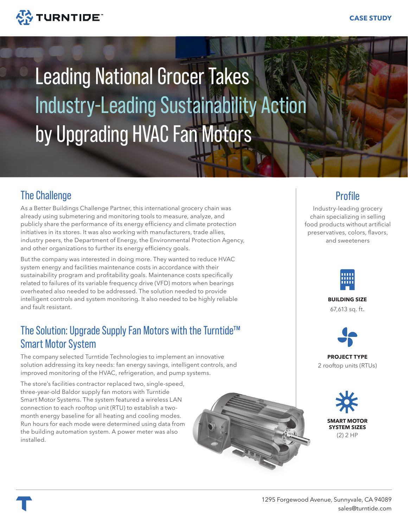

# Leading National Grocer Takes Industry-Leading Sustainability Action by Upgrading HVAC Fan Motors

# The Challenge

As a Better Buildings Challenge Partner, this international grocery chain was already using submetering and monitoring tools to measure, analyze, and publicly share the performance of its energy efficiency and climate protection initiatives in its stores. It was also working with manufacturers, trade allies, industry peers, the Department of Energy, the Environmental Protection Agency, and other organizations to further its energy efficiency goals.

But the company was interested in doing more. They wanted to reduce HVAC system energy and facilities maintenance costs in accordance with their sustainability program and profitability goals. Maintenance costs specifically related to failures of its variable frequency drive (VFD) motors when bearings overheated also needed to be addressed. The solution needed to provide intelligent controls and system monitoring. It also needed to be highly reliable and fault resistant.

### The Solution: Upgrade Supply Fan Motors with the Turntide™ Smart Motor System

The company selected Turntide Technologies to implement an innovative solution addressing its key needs: fan energy savings, intelligent controls, and improved monitoring of the HVAC, refrigeration, and pump systems.

The store's facilities contractor replaced two, single-speed, three-year-old Baldor supply fan motors with Turntide Smart Motor Systems. The system featured a wireless LAN connection to each rooftop unit (RTU) to establish a twomonth energy baseline for all heating and cooling modes. Run hours for each mode were determined using data from the building automation system. A power meter was also installed.



#### **Profile**

Industry-leading grocery chain specializing in selling food products without artificial preservatives, colors, flavors, and sweeteners



**BUILDING SIZE**

67,613 sq. ft.



**PROJECT TYPE** 2 rooftop units (RTUs)